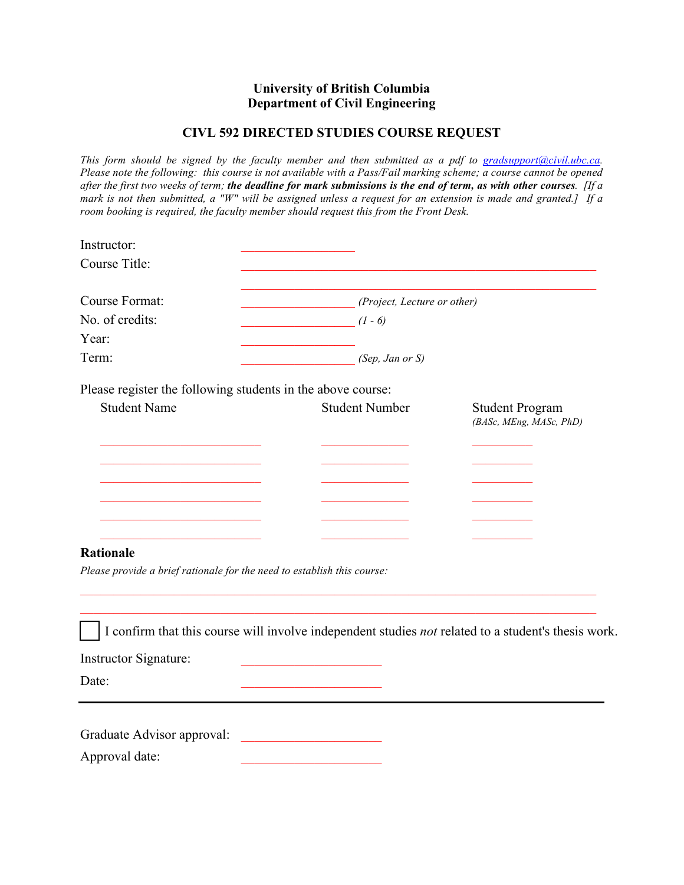## **University of British Columbia Department of Civil Engineering**

## **CIVL 592 DIRECTED STUDIES COURSE REQUEST**

*This form should be signed by the faculty member and then submitted as a pdf to gradsupport@civil.ubc.ca. Please note the following: this course is not available with a Pass/Fail marking scheme; a course cannot be opened after the first two weeks of term; the deadline for mark submissions is the end of term, as with other courses. [If a mark is not then submitted, a "W" will be assigned unless a request for an extension is made and granted.] If a room booking is required, the faculty member should request this from the Front Desk.*

| Instructor:                                                             |                                                                                                     |                                                   |
|-------------------------------------------------------------------------|-----------------------------------------------------------------------------------------------------|---------------------------------------------------|
| Course Title:                                                           |                                                                                                     |                                                   |
| Course Format:                                                          | (Project, Lecture or other)                                                                         |                                                   |
| No. of credits:                                                         | $(1 - 6)$                                                                                           |                                                   |
| Year:                                                                   |                                                                                                     |                                                   |
| Term:                                                                   | (Sep, Jan or S)                                                                                     |                                                   |
| Please register the following students in the above course:             |                                                                                                     |                                                   |
| <b>Student Name</b>                                                     | <b>Student Number</b>                                                                               | <b>Student Program</b><br>(BASc, MEng, MASc, PhD) |
|                                                                         |                                                                                                     |                                                   |
|                                                                         |                                                                                                     |                                                   |
|                                                                         |                                                                                                     |                                                   |
|                                                                         |                                                                                                     |                                                   |
|                                                                         |                                                                                                     |                                                   |
| <b>Rationale</b>                                                        |                                                                                                     |                                                   |
| Please provide a brief rationale for the need to establish this course: |                                                                                                     |                                                   |
|                                                                         |                                                                                                     |                                                   |
|                                                                         |                                                                                                     |                                                   |
|                                                                         | I confirm that this course will involve independent studies not related to a student's thesis work. |                                                   |
| Instructor Signature:                                                   |                                                                                                     |                                                   |
| Date:                                                                   |                                                                                                     |                                                   |
|                                                                         |                                                                                                     |                                                   |
|                                                                         |                                                                                                     |                                                   |

Graduate Advisor approval: \_\_\_\_\_\_\_\_\_\_\_\_\_\_\_\_\_\_\_\_\_

Approval date: